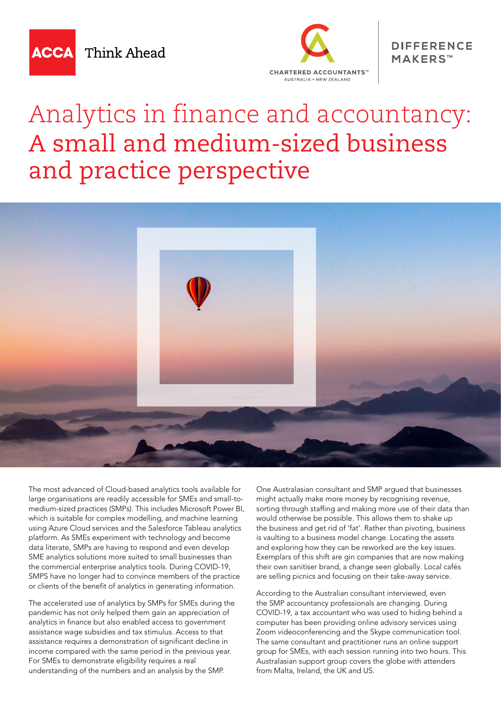

Think Ahead



## **DIFFERENCE** MAKERS™

## Analytics in finance and accountancy: A small and medium-sized business and practice perspective



The most advanced of Cloud-based analytics tools available for large organisations are readily accessible for SMEs and small-tomedium-sized practices (SMPs). This includes Microsoft Power BI, which is suitable for complex modelling, and machine learning using Azure Cloud services and the Salesforce Tableau analytics platform. As SMEs experiment with technology and become data literate, SMPs are having to respond and even develop SME analytics solutions more suited to small businesses than the commercial enterprise analytics tools. During COVID-19, SMPS have no longer had to convince members of the practice or clients of the benefit of analytics in generating information.

The accelerated use of analytics by SMPs for SMEs during the pandemic has not only helped them gain an appreciation of analytics in finance but also enabled access to government assistance wage subsidies and tax stimulus. Access to that assistance requires a demonstration of significant decline in income compared with the same period in the previous year. For SMEs to demonstrate eligibility requires a real understanding of the numbers and an analysis by the SMP.

One Australasian consultant and SMP argued that businesses might actually make more money by recognising revenue, sorting through staffing and making more use of their data than would otherwise be possible. This allows them to shake up the business and get rid of 'fat'. Rather than pivoting, business is vaulting to a business model change. Locating the assets and exploring how they can be reworked are the key issues. Exemplars of this shift are gin companies that are now making their own sanitiser brand, a change seen globally. Local cafés are selling picnics and focusing on their take-away service.

According to the Australian consultant interviewed, even the SMP accountancy professionals are changing. During COVID-19, a tax accountant who was used to hiding behind a computer has been providing online advisory services using Zoom videoconferencing and the Skype communication tool. The same consultant and practitioner runs an online support group for SMEs, with each session running into two hours. This Australasian support group covers the globe with attenders from Malta, Ireland, the UK and US.